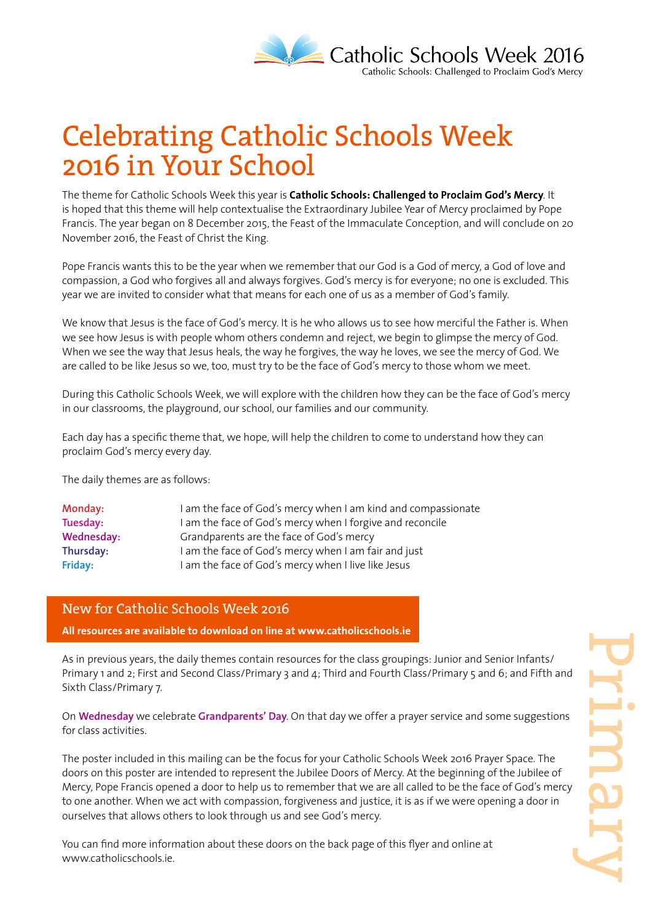

### Celebrating Catholic Schools Week 2016 in Your School

The theme for Catholic Schools Week this year is **Catholic Schools: Challenged to Proclaim God's Mercy**. It is hoped that this theme will help contextualise the Extraordinary Jubilee Year of Mercy proclaimed by Pope Francis. The year began on 8 December 2015, the Feast of the Immaculate Conception, and will conclude on 20 November 2016, the Feast of Christ the King.

Pope Francis wants this to be the year when we remember that our God is a God of mercy, a God of love and compassion, a God who forgives all and always forgives. God's mercy is for everyone; no one is excluded. This year we are invited to consider what that means for each one of us as a member of God's family.

We know that Jesus is the face of God's mercy. It is he who allows us to see how merciful the Father is. When we see how Jesus is with people whom others condemn and reject, we begin to glimpse the mercy of God. When we see the way that Jesus heals, the way he forgives, the way he loves, we see the mercy of God. We are called to be like Jesus so we, too, must try to be the face of God's mercy to those whom we meet.

During this Catholic Schools Week, we will explore with the children how they can be the face of God's mercy in our classrooms, the playground, our school, our families and our community.

Each day has a specific theme that, we hope, will help the children to come to understand how they can proclaim God's mercy every day.

The daily themes are as follows:

| Monday:    | I am the face of God's mercy when I am kind and compassionate |
|------------|---------------------------------------------------------------|
| Tuesday:   | I am the face of God's mercy when I forgive and reconcile     |
| Wednesday: | Grandparents are the face of God's mercy                      |
| Thursday:  | I am the face of God's mercy when I am fair and just          |
| Friday:    | I am the face of God's mercy when I live like Jesus           |

#### New for Catholic Schools Week 2016

**All resources are available to download on line at www.catholicschools.ie**

As in previous years, the daily themes contain resources for the class groupings: Junior and Senior Infants/ Primary 1 and 2; First and Second Class/Primary 3 and 4; Third and Fourth Class/Primary 5 and 6; and Fifth and Sixth Class/Primary 7.

On **Wednesday** we celebrate **Grandparents' Day**. On that day we offer a prayer service and some suggestions for class activities.

The poster included in this mailing can be the focus for your Catholic Schools Week 2016 Prayer Space. The doors on this poster are intended to represent the Jubilee Doors of Mercy. At the beginning of the Jubilee of Mercy, Pope Francis opened a door to help us to remember that we are all called to be the face of God's mercy to one another. When we act with compassion, forgiveness and justice, it is as if we were opening a door in ourselves that allows others to look through us and see God's mercy.

You can find more information about these doors on the back page of this flyer and online at www.catholicschools.ie.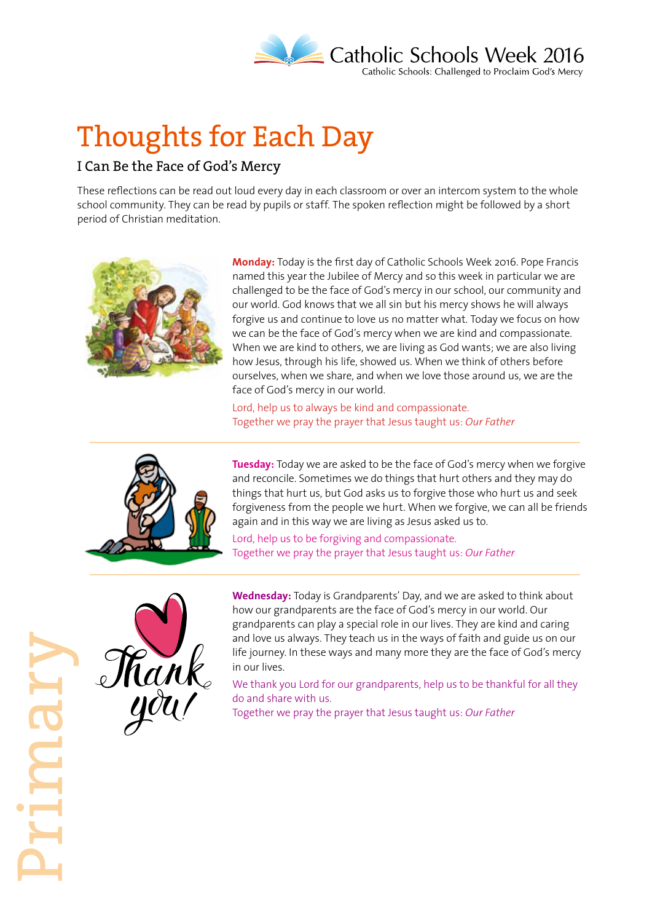

# Thoughts for Each Day

#### I Can Be the Face of God's Mercy

These reflections can be read out loud every day in each classroom or over an intercom system to the whole school community. They can be read by pupils or staff. The spoken reflection might be followed by a short period of Christian meditation.



**Monday:** Today is the first day of Catholic Schools Week 2016. Pope Francis named this year the Jubilee of Mercy and so this week in particular we are challenged to be the face of God's mercy in our school, our community and our world. God knows that we all sin but his mercy shows he will always forgive us and continue to love us no matter what. Today we focus on how we can be the face of God's mercy when we are kind and compassionate. When we are kind to others, we are living as God wants; we are also living how Jesus, through his life, showed us. When we think of others before ourselves, when we share, and when we love those around us, we are the face of God's mercy in our world.

Lord, help us to always be kind and compassionate. Together we pray the prayer that Jesus taught us: *Our Father*



**Tuesday:** Today we are asked to be the face of God's mercy when we forgive and reconcile. Sometimes we do things that hurt others and they may do things that hurt us, but God asks us to forgive those who hurt us and seek forgiveness from the people we hurt. When we forgive, we can all be friends again and in this way we are living as Jesus asked us to.

Lord, help us to be forgiving and compassionate. Together we pray the prayer that Jesus taught us: *Our Father*



**Wednesday:** Today is Grandparents' Day, and we are asked to think about how our grandparents are the face of God's mercy in our world. Our grandparents can play a special role in our lives. They are kind and caring and love us always. They teach us in the ways of faith and guide us on our life journey. In these ways and many more they are the face of God's mercy in our lives.

We thank you Lord for our grandparents, help us to be thankful for all they do and share with us.

Together we pray the prayer that Jesus taught us: *Our Father*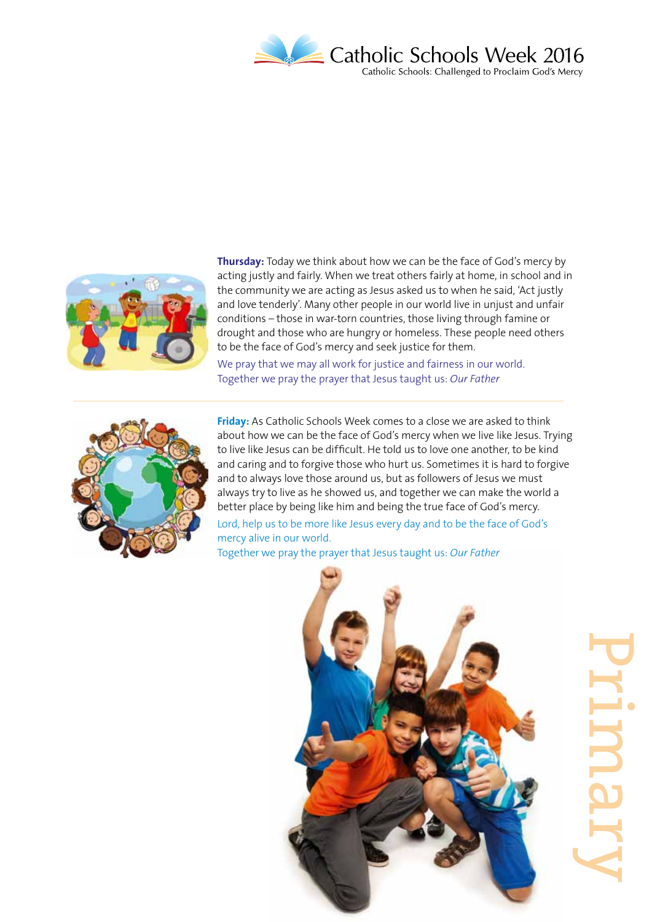



**Thursday:** Today we think about how we can be the face of God's mercy by acting justly and fairly. When we treat others fairly at home, in school and in the community we are acting as Jesus asked us to when he said, 'Act justly and love tenderly'. Many other people in our world live in unjust and unfair conditions – those in war-torn countries, those living through famine or drought and those who are hungry or homeless. These people need others to be the face of God's mercy and seek justice for them.

We pray that we may all work for justice and fairness in our world. Together we pray the prayer that Jesus taught us: *Our Father*



**Friday:** As Catholic Schools Week comes to a close we are asked to think about how we can be the face of God's mercy when we live like Jesus. Trying to live like Jesus can be difficult. He told us to love one another, to be kind and caring and to forgive those who hurt us. Sometimes it is hard to forgive and to always love those around us, but as followers of Jesus we must always try to live as he showed us, and together we can make the world a better place by being like him and being the true face of God's mercy.

Lord, help us to be more like Jesus every day and to be the face of God's mercy alive in our world.

Together we pray the prayer that Jesus taught us: *Our Father*



Primary